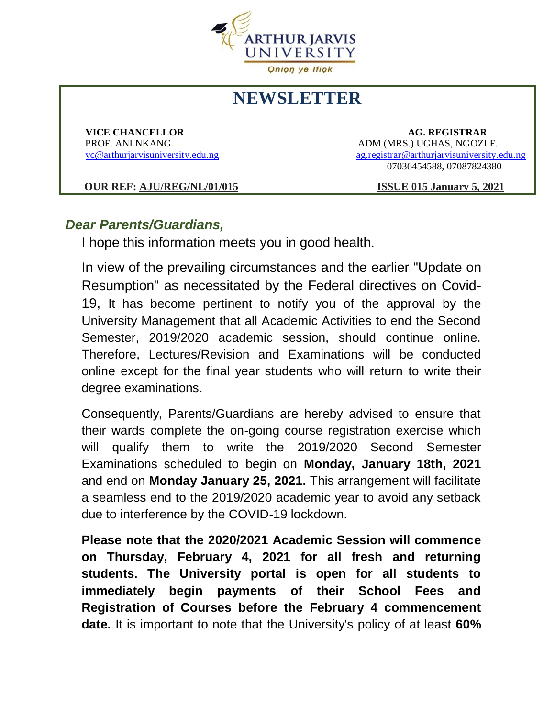

## **NEWSLETTER**

 **VICE CHANCELLOR AG. REGISTRAR** PROF. ANI NKANG ADM (MRS.) UGHAS, NGOZI F. [vc@arthurjarvisuniversity.edu.ng](mailto:vc@arthurjarvisuniversity.edu.ng) [ag.registrar@arthurjarvisuniversity.edu.ng](mailto:ag.registrar@arthurjarvisuniversity.edu.ng) 07036454588, 07087824380

 **OUR REF: AJU/REG/NL/01/015 ISSUE 015 January 5, 2021** 

## *Dear Parents/Guardians,*

I hope this information meets you in good health.

In view of the prevailing circumstances and the earlier "Update on Resumption" as necessitated by the Federal directives on Covid-19, It has become pertinent to notify you of the approval by the University Management that all Academic Activities to end the Second Semester, 2019/2020 academic session, should continue online. Therefore, Lectures/Revision and Examinations will be conducted online except for the final year students who will return to write their degree examinations.

Consequently, Parents/Guardians are hereby advised to ensure that their wards complete the on-going course registration exercise which will qualify them to write the 2019/2020 Second Semester Examinations scheduled to begin on **Monday, January 18th, 2021** and end on **Monday January 25, 2021.** This arrangement will facilitate a seamless end to the 2019/2020 academic year to avoid any setback due to interference by the COVID-19 lockdown.

**Please note that the 2020/2021 Academic Session will commence on Thursday, February 4, 2021 for all fresh and returning students. The University portal is open for all students to immediately begin payments of their School Fees and Registration of Courses before the February 4 commencement date.** It is important to note that the University's policy of at least **60%**